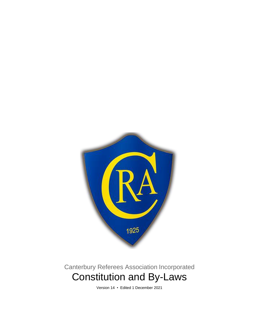

# Canterbury Referees Association Incorporated Constitution and By-Laws

Version 14 • Edited 1 December 2021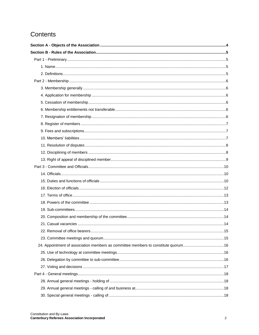## Contents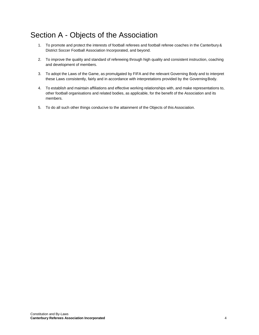## <span id="page-3-0"></span>Section A - Objects of the Association

- 1. To promote and protect the interests of football referees and football referee coaches in the Canterbury& District Soccer Football Association Incorporated, and beyond.
- 2. To improve the quality and standard of refereeing through high quality and consistent instruction, coaching and development of members.
- 3. To adopt the Laws of the Game, as promulgated by FIFA and the relevant Governing Body and to interpret these Laws consistently, fairly and in accordance with interpretations provided by the GoverningBody.
- 4. To establish and maintain affiliations and effective working relationships with, and make representations to, other football organisations and related bodies, as applicable, for the benefit of the Association and its members.
- 5. To do all such other things conducive to the attainment of the Objects of this Association.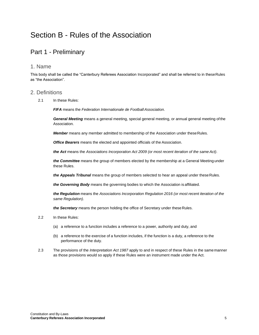## <span id="page-4-0"></span>Section B - Rules of the Association

### <span id="page-4-1"></span>Part 1 - Preliminary

#### <span id="page-4-2"></span>1. Name

This body shall be called the "Canterbury Referees Association Incorporated" and shall be referred to in theseRules as "the Association".

#### <span id="page-4-3"></span>2. Definitions

2.1 In these Rules:

*FIFA* means the *Federation Internationale de Football Association*.

*General Meeting* means a general meeting, special general meeting, or annual general meeting ofthe Association.

**Member** means any member admitted to membership of the Association under these Rules.

*Office Bearers* means the elected and appointed officials of the Association.

*the Act* means the *Associations Incorporation Act 2009 (or most recent iteration of the same Act)*.

*the Committee* means the group of members elected by the membership at a General Meeting under these Rules.

*the Appeals Tribunal* means the group of members selected to hear an appeal under these Rules.

*the Governing Body* means the governing bodies to which the Association is affiliated.

*the Regulation* means the *Associations Incorporation Regulation 2016 (or most recent iteration of the same Regulation)*.

*the Secretary* means the person holding the office of Secretary under these Rules.

- 2.2 In these Rules:
	- (a) a reference to a function includes a reference to a power, authority and duty, and
	- (b) a reference to the exercise of a function includes, if the function is a duty, a reference to the performance of the duty.
- 2.3 The provisions of the *Interpretation Act 1987* apply to and in respect of these Rules in the samemanner as those provisions would so apply if these Rules were an instrument made under the Act.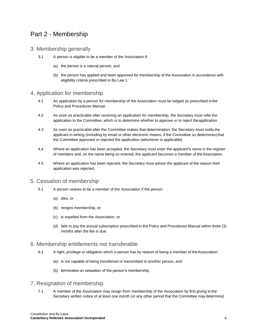### <span id="page-5-0"></span>Part 2 - Membership

- <span id="page-5-1"></span>3. Membership generally
	- 3.1 A person is eligible to be a member of the Association if:
		- (a) the person is a natural person, and
		- (b) the person has applied and been approved for membership of the Association in accordance with eligibility criteria prescribed in By-Law 1.

#### <span id="page-5-2"></span>4. Application for membership

- 4.1 An application by a person for membership of the Association must be lodged as prescribed inthe Policy and Procedures Manual.
- 4.2 As soon as practicable after receiving an application for membership, the Secretary must refer the application to the Committee, which is to determine whether to approve or to reject theapplication.
- 4.3 As soon as practicable after the Committee makes that determination, the Secretary must notify the applicant in writing (including by email or other electronic means, if the Committee so determines) that the Committee approved or rejected the application (whichever is applicable).
- 4.4 Where an application has been accepted, the Secretary must enter the applicant's name in the register of members and, on the name being so entered, the applicant becomes a member of the Association.
- 4.5 Where an application has been rejected, the Secretary must advise the applicant of the reason their application was rejected.

#### <span id="page-5-3"></span>5. Cessation of membership

- 5.1 A person ceases to be a member of the Association if the person:
	- (a) dies, or
	- (b) resigns membership, or
	- (c) is expelled from the Association, or
	- (d) fails to pay the annual subscription prescribed in the Policy and Procedures Manual within three (3) months after the fee is due.

#### <span id="page-5-4"></span>6. Membership entitlements not transferable

- 6.1 A right, privilege or obligation which a person has by reason of being a member of the Association:
	- (a) is not capable of being transferred or transmitted to another person, and
	- (b) terminates on cessation of the person's membership.

#### <span id="page-5-5"></span>7. Resignation of membership

7.1 A member of the Association may resign from membership of the Association by first giving to the Secretary written notice of at least one month (or any other period that the Committee may determine)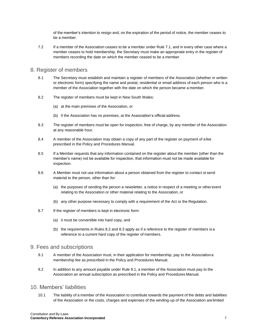of the member's intention to resign and, on the expiration of the period of notice, the member ceases to be a member.

7.2 If a member of the Association ceases to be a member under Rule 7.1, and in every other case where a member ceases to hold membership, the Secretary must make an appropriate entry in the register of members recording the date on which the member ceased to be a member.

#### <span id="page-6-0"></span>8. Register of members

- 8.1 The Secretary must establish and maintain a register of members of the Association (whether in written or electronic form) specifying the name and postal, residential or email address of each person who is a member of the Association together with the date on which the person became a member.
- 8.2 The register of members must be kept in New South Wales:
	- (a) at the main premises of the Association, or
	- (b) if the Association has no premises, at the Association's official address.
- 8.3 The register of members must be open for inspection, free of charge, by any member of the Association at any reasonable hour.
- 8.4 A member of the Association may obtain a copy of any part of the register on payment of a fee prescribed in the Policy and Procedures Manual.
- 8.5 If a Member requests that any information contained on the register about the member (other than the member's name) not be available for inspection, that information must not be made available for inspection.
- 8.6 A Member must not use information about a person obtained from the register to contact or send material to the person, other than for:
	- (a) the purposes of sending the person a newsletter, a notice in respect of a meeting or other event relating to the Association or other material relating to the Association, or
	- (b) any other purpose necessary to comply with a requirement of the Act or the Regulation.
- 8.7 If the register of members is kept in electronic form:
	- (a) it must be convertible into hard copy, and
	- (b) the requirements in Rules 8.2 and 8.3 apply as if a reference to the register of members is a reference to a current hard copy of the register of members.

#### <span id="page-6-1"></span>9. Fees and subscriptions

- 9.1 A member of the Association must, in their application for membership, pay to the Associationa membership fee as prescribed in the Policy and Procedures Manual.
- 9.2 In addition to any amount payable under Rule 9.1, a member of the Association must pay to the Association an annual subscription as prescribed in the Policy and Procedures Manual.

#### <span id="page-6-2"></span>10. Members' liabilities

10.1 The liability of a member of the Association to contribute towards the payment of the debts and liabilities of the Association or the costs, charges and expenses of the winding-up of the Association arelimited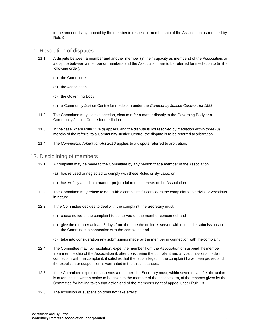to the amount, if any, unpaid by the member in respect of membership of the Association as required by Rule 9.

#### <span id="page-7-0"></span>11. Resolution of disputes

- 11.1 A dispute between a member and another member (in their capacity as members) of the Association, or a dispute between a member or members and the Association, are to be referred for mediation to (in the following order):
	- (a) the Committee
	- (b) the Association
	- (c) the Governing Body
	- (d) a Community Justice Centre for mediation under the *Community Justice Centres Act 1983*.
- 11.2 The Committee may, at its discretion, elect to refer a matter directly to the Governing Body or a Community Justice Centre for mediation.
- 11.3 In the case where Rule 11.1(d) applies, and the dispute is not resolved by mediation within three (3) months of the referral to a Community Justice Centre, the dispute is to be referred to arbitration.
- 11.4 The *Commercial Arbitration Act 2010* applies to a dispute referred to arbitration.

#### <span id="page-7-1"></span>12. Disciplining of members

- 12.1 A complaint may be made to the Committee by any person that a member of the Association:
	- (a) has refused or neglected to comply with these Rules or By-Laws, or
	- (b) has wilfully acted in a manner prejudicial to the interests of the Association.
- 12.2 The Committee may refuse to deal with a complaint if it considers the complaint to be trivial or vexatious in nature.
- 12.3 If the Committee decides to deal with the complaint, the Secretary must:
	- (a) cause notice of the complaint to be served on the member concerned, and
	- (b) give the member at least 5 days from the date the notice is served within to make submissions to the Committee in connection with the complaint, and
	- (c) take into consideration any submissions made by the member in connection with the complaint.
- 12.4 The Committee may, by resolution, expel the member from the Association or suspend the member from membership of the Association if, after considering the complaint and any submissions made in connection with the complaint, it satisfies that the facts alleged in the complaint have been proved and the expulsion or suspension is warranted in the circumstances.
- 12.5 If the Committee expels or suspends a member, the Secretary must, within seven days after the action is taken, cause written notice to be given to the member of the action taken, of the reasons given by the Committee for having taken that action and of the member's right of appeal under Rule 13.
- 12.6 The expulsion or suspension does not take effect: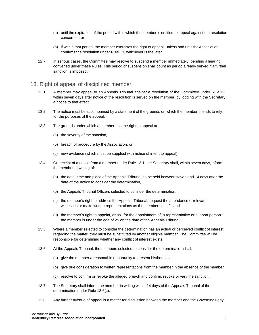- (a) until the expiration of the period within which the member is entitled to appeal against the resolution concerned, or
- (b) if within that period, the member exercises the right of appeal, unless and until theAssociation confirms the resolution under Rule 13, whichever is the later.
- 12.7 In serious cases, the Committee may resolve to suspend a member immediately, pending a hearing convened under these Rules. This period of suspension shall count as period already served if a further sanction is imposed.

#### <span id="page-8-0"></span>13. Right of appeal of disciplined member

- 13.1 A member may appeal to an Appeals Tribunal against a resolution of the Committee under Rule 12, within seven days after notice of the resolution is served on the member, by lodging with the Secretary a notice to that effect.
- 13.2 The notice must be accompanied by a statement of the grounds on which the member intends to rely for the purposes of the appeal.
- 13.3 The grounds under which a member has the right to appeal are:
	- (a) the severity of the sanction,
	- (b) breach of procedure by the Association, or
	- (c) new evidence (which must be supplied with notice of intent to appeal).
- 13.4 On receipt of a notice from a member under Rule 13.1, the Secretary shall, within seven days, inform the member in writing of:
	- (a) the date, time and place of the Appeals Tribunal, to be held between seven and 14 days after the date of the notice to consider the determination,
	- (b) the Appeals Tribunal Officers selected to consider the determination,
	- (c) the member's right to address the Appeals Tribunal, request the attendance ofrelevant witnesses or make written representations as the member sees fit, and
	- (d) the member's right to appoint, or ask for the appointment of, a representative or support personif the member is under the age of 25 on the date of the Appeals Tribunal.
- 13.5 Where a member selected to consider the determination has an actual or perceived conflict of interest regarding the matter, they must be substituted by another eligible member. The Committee will be responsible for determining whether any conflict of interest exists.
- 13.6 At the Appeals Tribunal, the members selected to consider the determination shall:
	- (a) give the member a reasonable opportunity to present his/her case,
	- (b) give due consideration to written representations from the member in the absence of the member,
	- (c) resolve to confirm or revoke the alleged breach and confirm, revoke or vary the sanction.
- 13.7 The Secretary shall inform the member in writing within 14 days of the Appeals Tribunal of the determination under Rule 13.6(c).
- 13.8 Any further avenue of appeal is a matter for discussion between the member and the GoverningBody.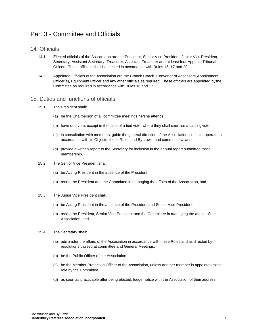### <span id="page-9-0"></span>Part 3 - Committee and Officials

#### <span id="page-9-1"></span>14. Officials

- 14.1 Elected officials of the Association are the President, Senior Vice President, Junior Vice President, Secretary, Assistant Secretary, Treasurer, Assistant Treasurer and at least four Appeals Tribunal Officers. These officials shall be elected in accordance with Rules 16, 17 and 20.
- 14.2 Appointed Officials of the Association are the Branch Coach, Convenor of Assessors, Appointment Officer(s), Equipment Officer and any other officials as required. These officials are appointed by the Committee as required in accordance with Rules 16 and 17.

#### <span id="page-9-2"></span>15. Duties and functions of officials

- 15.1 The President shall:
	- (a) be the Chairperson of all committee meetings he/she attends,
	- (b) have one vote, except in the case of a tied vote, where they shall exercise a casting vote,
	- (c) in consultation with members, guide the general direction of the Association, so that it operates in accordance with its Objects, these Rules and By-Laws, and common law, and
	- (d) provide a written report to the Secretary for inclusion in the annual report submitted tothe membership.
- 15.2 The Senior Vice President shall:
	- (a) be Acting President in the absence of the President,
	- (b) assist the President and the Committee in managing the affairs of the Association, and
- 15.3 The Junior Vice President shall:
	- (a) be Acting President in the absence of the President and Senior Vice President,
	- (b) assist the President, Senior Vice President and the Committee in managing the affairs of the Association, and
- 15.4 The Secretary shall:
	- (a) administer the affairs of the Association in accordance with these Rules and as directed by resolutions passed at committee and General Meetings,
	- (b) be the Public Officer of the Association,
	- (c) be the Member Protection Officer of the Association, unless another member is appointed to the role by the Committee,
	- (d) as soon as practicable after being elected, lodge notice with the Association of their address,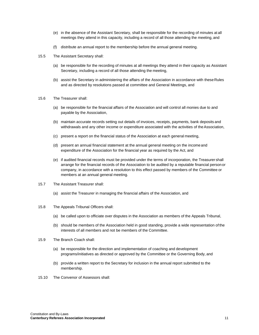- (e) in the absence of the Assistant Secretary, shall be responsible for the recording of minutes at all meetings they attend in this capacity, including a record of all those attending the meeting, and
- (f) distribute an annual report to the membership before the annual general meeting.
- 15.5 The Assistant Secretary shall:
	- (a) be responsible for the recording of minutes at all meetings they attend in their capacity as Assistant Secretary, including a record of all those attending the meeting,
	- (b) assist the Secretary in administering the affairs of the Association in accordance with theseRules and as directed by resolutions passed at committee and General Meetings, and
- 15.6 The Treasurer shall:
	- (a) be responsible for the financial affairs of the Association and will control all monies due to and payable by the Association,
	- (b) maintain accurate records setting out details of invoices, receipts, payments, bank deposits and withdrawals and any other income or expenditure associated with the activities of the Association,
	- (c) present a report on the financial status of the Association at each general meeting,
	- (d) present an annual financial statement at the annual general meeting on the incomeand expenditure of the Association for the financial year as required by the Act, and
	- (e) if audited financial records must be provided under the terms of incorporation, the Treasurer shall arrange for the financial records of the Association to be audited by a reputable financial personor company, in accordance with a resolution to this effect passed by members of the Committee or members at an annual general meeting.
- 15.7 The Assistant Treasurer shall:
	- (a) assist the Treasurer in managing the financial affairs of the Association, and
- 15.8 The Appeals Tribunal Officers shall:
	- (a) be called upon to officiate over disputes in the Association as members of the Appeals Tribunal,
	- (b) should be members of the Association held in good standing, provide a wide representation of the interests of all members and not be members of the Committee.
- 15.9 The Branch Coach shall:
	- (a) be responsible for the direction and implementation of coaching and development programs/initiatives as directed or approved by the Committee or the Governing Body, and
	- (b) provide a written report to the Secretary for inclusion in the annual report submitted to the membership.
- 15.10 The Convenor of Assessors shall: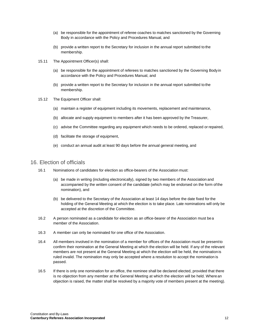- (a) be responsible for the appointment of referee coaches to matches sanctioned by the Governing Body in accordance with the Policy and Procedures Manual, and
- (b) provide a written report to the Secretary for inclusion in the annual report submitted to the membership.
- 15.11 The Appointment Officer(s) shall:
	- (a) be responsible for the appointment of referees to matches sanctioned by the Governing Bodyin accordance with the Policy and Procedures Manual, and
	- (b) provide a written report to the Secretary for inclusion in the annual report submitted to the membership.
- 15.12 The Equipment Officer shall:
	- (a) maintain a register of equipment including its movements, replacement and maintenance,
	- (b) allocate and supply equipment to members after it has been approved by the Treasurer,
	- (c) advise the Committee regarding any equipment which needs to be ordered, replaced or repaired,
	- (d) facilitate the storage of equipment,
	- (e) conduct an annual audit at least 90 days before the annual general meeting, and

#### <span id="page-11-0"></span>16. Election of officials

- 16.1 Nominations of candidates for election as office-bearers of the Association must:
	- (a) be made in writing (including electronically), signed by two members of the Association and accompanied by the written consent of the candidate (which may be endorsed on the form of the nomination), and
	- (b) be delivered to the Secretary of the Association at least 14 days before the date fixed for the holding of the General Meeting at which the election is to take place. Late nominations will only be accepted at the discretion of the Committee.
- 16.2 A person nominated as a candidate for election as an office-bearer of the Association must bea member of the Association.
- 16.3 A member can only be nominated for one office of the Association.
- 16.4 All members involved in the nomination of a member for offices of the Association must be present to confirm their nomination at the General Meeting at which the election will be held. If any of the relevant members are not present at the General Meeting at which the election will be held, the nominationis ruled invalid. The nomination may only be accepted where a resolution to accept the nomination is passed.
- 16.5 If there is only one nomination for an office, the nominee shall be declared elected, provided that there is no objection from any member at the General Meeting at which the election will be held. Wherean objection is raised, the matter shall be resolved by a majority vote of members present at the meeting).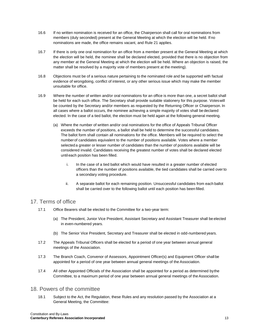- 16.6 If no written nomination is received for an office, the Chairperson shall call for oral nominations from members (duly seconded) present at the General Meeting at which the election will be held. If no nominations are made, the office remains vacant, and Rule 21 applies.
- 16.7 If there is only one oral nomination for an office from a member present at the General Meeting at which the election will be held, the nominee shall be declared elected, provided that there is no objection from any member at the General Meeting at which the election will be held. Where an objection is raised, the matter shall be resolved by a majority vote of members present at the meeting).
- 16.8 Objections must be of a serious nature pertaining to the nominated role and be supported with factual evidence of wrongdoing, conflict of interest, or any other serious issue which may make the member unsuitable for office.
- 16.9 Where the number of written and/or oral nominations for an office is more than one, a secret ballot shall be held for each such office. The Secretary shall provide suitable stationery for this purpose. Voteswill be counted by the Secretary and/or members as requested by the Returning Officer or Chairperson. In all cases where a ballot occurs, the nominee achieving a simple majority of votes shall be declared elected. In the case of a tied ballot, the election must be held again at the following general meeting.
	- (a) Where the number of written and/or oral nominations for the office of Appeals Tribunal Officer exceeds the number of positions, a ballot shall be held to determine the successful candidates. The ballot form shall contain all nominations for the office. Members will be required to select the numberof candidates equivalent to the number of positions available. Votes where a member selected a greater or lesser number of candidates than the number of positions available will be considered invalid. Candidates receiving the greatest number of votes shall be declared elected until each position has been filled.
		- i. In the case of a tied ballot which would have resulted in a greater number of elected officers than the number of positions available, the tied candidates shall be carried overto a secondary voting procedure.
		- ii. A separate ballot for each remaining position. Unsuccessful candidates from each ballot shall be carried over to the following ballot until each position has been filled.

#### <span id="page-12-0"></span>17. Terms of office

- 17.1 Office Bearers shall be elected to the Committee for a two-year term:
	- (a) The President, Junior Vice President, Assistant Secretary and Assistant Treasurer shall be elected in even-numbered years.
	- (b) The Senior Vice President, Secretary and Treasurer shall be elected in odd-numbered years.
- 17.2 The Appeals Tribunal Officers shall be elected for a period of one year between annual general meetings of the Association.
- 17.3 The Branch Coach, Convenor of Assessors, Appointment Officer(s) and Equipment Officer shall be appointed for a period of one year between annual general meetings of the Association.
- 17.4 All other Appointed Officials of the Association shall be appointed for a period as determined bythe Committee, to a maximum period of one year between annual general meetings of the Association.

#### <span id="page-12-1"></span>18. Powers of the committee

18.1 Subject to the Act, the Regulation, these Rules and any resolution passed by the Association at a General Meeting, the Committee: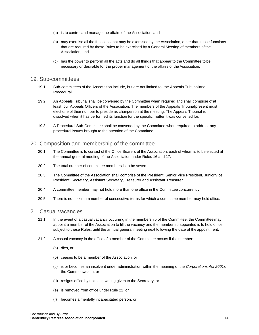- (a) is to control and manage the affairs of the Association, and
- (b) may exercise all the functions that may be exercised by the Association, other than those functions that are required by these Rules to be exercised by a General Meeting of members of the Association, and
- (c) has the power to perform all the acts and do all things that appear to the Committee to be necessary or desirable for the proper management of the affairs of the Association.

#### <span id="page-13-0"></span>19. Sub-committees

- 19.1 Sub-committees of the Association include, but are not limited to, the Appeals Tribunaland Procedural.
- 19.2 An Appeals Tribunal shall be convened by the Committee when required and shall comprise of at least four Appeals Officers of the Association. The members of the Appeals Tribunalpresent must elect one of their number to preside as chairperson at the meeting. The Appeals Tribunal is dissolved when it has performed its function for the specific matter it was convened for.
- 19.3 A Procedural Sub-Committee shall be convened by the Committee when required to address any procedural issues brought to the attention of the Committee.

#### <span id="page-13-1"></span>20. Composition and membership of the committee

- 20.1 The Committee is to consist of the Office Bearers of the Association, each of whom is to be elected at the annual general meeting of the Association under Rules 16 and 17.
- 20.2 The total number of committee members is to be seven.
- 20.3 The Committee of the Association shall comprise of the President, Senior Vice President, Junior Vice President, Secretary, Assistant Secretary, Treasurer and Assistant Treasurer.
- 20.4 A committee member may not hold more than one office in the Committee concurrently.
- 20.5 There is no maximum number of consecutive terms for which a committee member may hold office.

#### <span id="page-13-2"></span>21. Casual vacancies

- 21.1 In the event of a casual vacancy occurring in the membership of the Committee, the Committee may appoint a member of the Association to fill the vacancy and the member so appointed is to hold office, subject to these Rules, until the annual general meeting next following the date of the appointment.
- 21.2 A casual vacancy in the office of a member of the Committee occurs if the member:
	- (a) dies, or
	- (b) ceases to be a member of the Association, or
	- (c) is or becomes an insolvent under administration within the meaning of the *Corporations Act 2001*of the Commonwealth, or
	- (d) resigns office by notice in writing given to the Secretary, or
	- (e) is removed from office under Rule 22, or
	- (f) becomes a mentally incapacitated person, or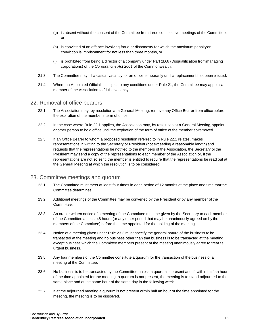- (g) is absent without the consent of the Committee from three consecutive meetings of the Committee, or
- (h) is convicted of an offence involving fraud or dishonesty for which the maximum penaltyon conviction is imprisonment for not less than three months, or
- (i) is prohibited from being a director of a company under Part 2D.6 (Disqualification frommanaging corporations) of the *Corporations Act 2001* of the Commonwealth.
- 21.3 The Committee may fill a casual vacancy for an office temporarily until a replacement has been elected.
- 21.4 Where an Appointed Official is subject to any conditions under Rule 21, the Committee may appoint a member of the Association to fill the vacancy.

#### <span id="page-14-0"></span>22. Removal of office bearers

- 22.1 The Association may, by resolution at a General Meeting, remove any Office Bearer from officebefore the expiration of the member's term of office.
- 22.2 In the case where Rule 22.1 applies, the Association may, by resolution at a General Meeting, appoint another person to hold office until the expiration of the term of office of the member so removed.
- 22.3 If an Office Bearer to whom a proposed resolution referred to in Rule 22.1 relates, makes representations in writing to the Secretary or President (not exceeding a reasonable length) and requests that the representations be notified to the members of the Association, the Secretary orthe President may send a copy of the representations to each member of the Association or, if the representations are not so sent, the member is entitled to require that the representations be read out at the General Meeting at which the resolution is to be considered.

#### <span id="page-14-1"></span>23. Committee meetings and quorum

- 23.1 The Committee must meet at least four times in each period of 12 months at the place and time that the Committee determines.
- 23.2 Additional meetings of the Committee may be convened by the President or by any member of the Committee.
- 23.3 An oral or written notice of a meeting of the Committee must be given by the Secretary to each member of the Committee at least 48 hours (or any other period that may be unanimously agreed on by the members of the Committee) before the time appointed for the holding of the meeting.
- 23.4 Notice of a meeting given under Rule 23.3 must specify the general nature of the business to be transacted at the meeting and no business other than that business is to be transacted at the meeting, except business which the Committee members present at the meeting unanimously agree to treatas urgent business.
- 23.5 Any four members of the Committee constitute a quorum for the transaction of the business of a meeting of the Committee.
- 23.6 No business is to be transacted by the Committee unless a quorum is present and if, within half an hour of the time appointed for the meeting, a quorum is not present, the meeting is to stand adjourned to the same place and at the same hour of the same day in the following week.
- 23.7 If at the adjourned meeting a quorum is not present within half an hour of the time appointed for the meeting, the meeting is to be dissolved.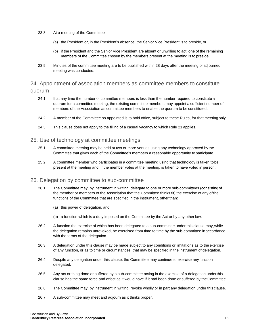- 23.8 At a meeting of the Committee:
	- (a) the President or, in the President's absence, the Senior Vice President is to preside, or
	- (b) if the President and the Senior Vice President are absent or unwilling to act, one of the remaining members of the Committee chosen by the members present at the meeting is to preside.
- 23.9 Minutes of the committee meeting are to be published within 28 days after the meeting or adjourned meeting was conducted.

#### <span id="page-15-0"></span>24. Appointment of association members as committee members to constitute quorum

- 24.1 If at any time the number of committee members is less than the number required to constitute a quorum for a committee meeting, the existing committee members may appoint a sufficient number of members of the Association as committee members to enable the quorum to be constituted.
- 24.2 A member of the Committee so appointed is to hold office, subject to these Rules, for that meeting only.
- 24.3 This clause does not apply to the filling of a casual vacancy to which Rule 21 applies.

#### <span id="page-15-1"></span>25. Use of technology at committee meetings

- 25.1 A committee meeting may be held at two or more venues using any technology approved by the Committee that gives each of the Committee's members a reasonable opportunity to participate.
- 25.2 A committee member who participates in a committee meeting using that technology is taken to be present at the meeting and, if the member votes at the meeting, is taken to have voted in person.

#### <span id="page-15-2"></span>26. Delegation by committee to sub-committee

- 26.1 The Committee may, by instrument in writing, delegate to one or more sub-committees (consisting of the member or members of the Association that the Committee thinks fit) the exercise of any of the functions of the Committee that are specified in the instrument, other than:
	- (a) this power of delegation, and
	- (b) a function which is a duty imposed on the Committee by the Act or by any other law.
- 26.2 A function the exercise of which has been delegated to a sub-committee under this clause may,while the delegation remains unrevoked, be exercised from time to time by the sub-committee inaccordance with the terms of the delegation.
- 26.3 A delegation under this clause may be made subject to any conditions or limitations as to the exercise of any function, or as to time or circumstances, that may be specified in the instrument of delegation.
- 26.4 Despite any delegation under this clause, the Committee may continue to exercise any function delegated.
- 26.5 Any act or thing done or suffered by a sub-committee acting in the exercise of a delegation underthis clause has the same force and effect as it would have if it had been done or suffered by the Committee.
- 26.6 The Committee may, by instrument in writing, revoke wholly or in part any delegation under this clause.
- 26.7 A sub-committee may meet and adjourn as it thinks proper.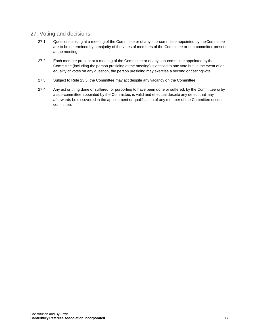#### <span id="page-16-0"></span>27. Voting and decisions

- 27.1 Questions arising at a meeting of the Committee or of any sub-committee appointed by theCommittee are to be determined by a majority of the votes of members of the Committee or sub-committeepresent at the meeting.
- 27.2 Each member present at a meeting of the Committee or of any sub-committee appointed by the Committee (including the person presiding at the meeting) is entitled to one vote but, in the event of an equality of votes on any question, the person presiding may exercise a second or casting vote.
- 27.3 Subject to Rule 23.5, the Committee may act despite any vacancy on the Committee.
- 27.4 Any act or thing done or suffered, or purporting to have been done or suffered, by the Committee orby a sub-committee appointed by the Committee, is valid and effectual despite any defect that may afterwards be discovered in the appointment or qualification of any member of the Committee or subcommittee.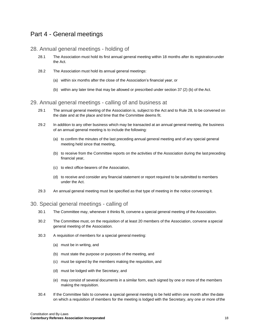### <span id="page-17-0"></span>Part 4 - General meetings

#### <span id="page-17-1"></span>28. Annual general meetings - holding of

- 28.1 The Association must hold its first annual general meeting within 18 months after its registration under the Act.
- 28.2 The Association must hold its annual general meetings:
	- (a) within six months after the close of the Association's financial year, or
	- (b) within any later time that may be allowed or prescribed under section 37 (2) (b) of the Act.

#### <span id="page-17-2"></span>29. Annual general meetings - calling of and business at

- 29.1 The annual general meeting of the Association is, subject to the Act and to Rule 28, to be convened on the date and at the place and time that the Committee deems fit.
- 29.2 In addition to any other business which may be transacted at an annual general meeting, the business of an annual general meeting is to include the following:
	- (a) to confirm the minutes of the last preceding annual general meeting and of any special general meeting held since that meeting,
	- (b) to receive from the Committee reports on the activities of the Association during the last preceding financial year,
	- (c) to elect office-bearers of the Association,
	- (d) to receive and consider any financial statement or report required to be submitted to members under the Act.
- 29.3 An annual general meeting must be specified as that type of meeting in the notice convening it.

#### <span id="page-17-3"></span>30. Special general meetings - calling of

- 30.1 The Committee may, whenever it thinks fit, convene a special general meeting of the Association.
- 30.2 The Committee must, on the requisition of at least 20 members of the Association, convene a special general meeting of the Association.
- 30.3 A requisition of members for a special general meeting:
	- (a) must be in writing, and
	- (b) must state the purpose or purposes of the meeting, and
	- (c) must be signed by the members making the requisition, and
	- (d) must be lodged with the Secretary, and
	- (e) may consist of several documents in a similar form, each signed by one or more of the members making the requisition.
- 30.4 If the Committee fails to convene a special general meeting to be held within one month after the date on which a requisition of members for the meeting is lodged with the Secretary, any one or more ofthe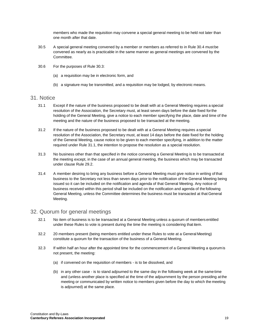members who made the requisition may convene a special general meeting to be held not later than one month after that date.

- 30.5 A special general meeting convened by a member or members as referred to in Rule 30.4 must be convened as nearly as is practicable in the same manner as general meetings are convened by the Committee.
- 30.6 For the purposes of Rule 30.3:
	- (a) a requisition may be in electronic form, and
	- (b) a signature may be transmitted, and a requisition may be lodged, by electronic means.

#### <span id="page-18-0"></span>31. Notice

- 31.1 Except if the nature of the business proposed to be dealt with at a General Meeting requires a special resolution of the Association, the Secretary must, at least seven days before the date fixed forthe holding of the General Meeting, give a notice to each member specifying the place, date and time of the meeting and the nature of the business proposed to be transacted at the meeting.
- 31.2 If the nature of the business proposed to be dealt with at a General Meeting requires a special resolution of the Association, the Secretary must, at least 14 days before the date fixed for the holding of the General Meeting, cause notice to be given to each member specifying, in addition to the matter required under Rule 31.1, the intention to propose the resolution as a special resolution.
- 31.3 No business other than that specified in the notice convening a General Meeting is to be transactedat the meeting except, in the case of an annual general meeting, the business which may be transacted under clause Rule 29.2.
- 31.4 A member desiring to bring any business before a General Meeting must give notice in writing of that business to the Secretary not less than seven days prior to the notification of the General Meeting being issued so it can be included on the notification and agenda of that General Meeting. Any notice of business received within this period shall be included on the notification and agenda of the following General Meeting, unless the Committee determines the business must be transacted at that General Meeting.

#### <span id="page-18-1"></span>32. Quorum for general meetings

- 32.1 No item of business is to be transacted at a General Meeting unless a quorum of members entitled under these Rules to vote is present during the time the meeting is considering that item.
- 32.2 20 members present (being members entitled under these Rules to vote at a General Meeting) constitute a quorum for the transaction of the business of a General Meeting.
- 32.3 If within half an hour after the appointed time for the commencement of a General Meeting a quorumis not present, the meeting:
	- (a) if convened on the requisition of members is to be dissolved, and
	- (b) in any other case is to stand adjourned to the same day in the following week at the same time and (unless another place is specified at the time of the adjournment by the person presiding at the meeting or communicated by written notice to members given before the day to which the meeting is adjourned) at the same place.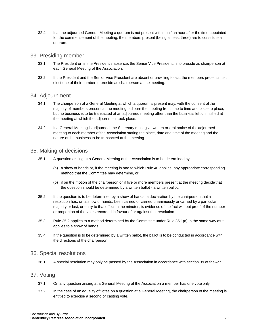32.4 If at the adjourned General Meeting a quorum is not present within half an hour after the time appointed for the commencement of the meeting, the members present (being at least three) are to constitute a quorum.

#### <span id="page-19-0"></span>33. Presiding member

- 33.1 The President or, in the President's absence, the Senior Vice President, is to preside as chairperson at each General Meeting of the Association.
- 33.2 If the President and the Senior Vice President are absent or unwilling to act, the members present must elect one of their number to preside as chairperson at the meeting.

#### <span id="page-19-1"></span>34. Adjournment

- 34.1 The chairperson of a General Meeting at which a quorum is present may, with the consent of the majority of members present at the meeting, adjourn the meeting from time to time and place to place, but no business is to be transacted at an adjourned meeting other than the business left unfinished at the meeting at which the adjournment took place.
- 34.2 If a General Meeting is adjourned, the Secretary must give written or oral notice of the adjourned meeting to each member of the Association stating the place, date and time of the meeting and the nature of the business to be transacted at the meeting.

#### <span id="page-19-2"></span>35. Making of decisions

- 35.1 A question arising at a General Meeting of the Association is to be determined by:
	- (a) a show of hands or, if the meeting is one to which Rule 40 applies, any appropriate corresponding method that the Committee may determine, or
	- (b) if on the motion of the chairperson or if five or more members present at the meeting decidethat the question should be determined by a written ballot - a written ballot.
- 35.2 If the question is to be determined by a show of hands, a declaration by the chairperson that a resolution has, on a show of hands, been carried or carried unanimously or carried by a particular majority or lost, or entry to that effect in the minutes, is evidence of the fact without proof of the number or proportion of the votes recorded in favour of or against that resolution.
- 35.3 Rule 35.2 applies to a method determined by the Committee under Rule 35.1(a) in the same way asit applies to a show of hands.
- 35.4 If the question is to be determined by a written ballot, the ballot is to be conducted in accordance with the directions of the chairperson.

#### <span id="page-19-3"></span>36. Special resolutions

36.1 A special resolution may only be passed by the Association in accordance with section 39 of theAct.

#### <span id="page-19-4"></span>37. Voting

- 37.1 On any question arising at a General Meeting of the Association a member has one vote only.
- 37.2 In the case of an equality of votes on a question at a General Meeting, the chairperson of the meeting is entitled to exercise a second or casting vote.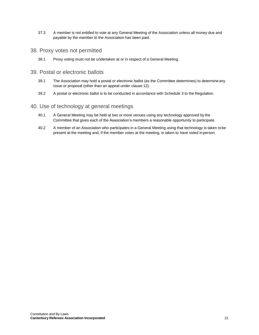37.3 A member is not entitled to vote at any General Meeting of the Association unless all money due and payable by the member to the Association has been paid.

#### <span id="page-20-0"></span>38. Proxy votes not permitted

38.1 Proxy voting must not be undertaken at or in respect of a General Meeting.

#### <span id="page-20-1"></span>39. Postal or electronic ballots

- 39.1 The Association may hold a postal or electronic ballot (as the Committee determines) to determine any issue or proposal (other than an appeal under clause 12).
- 39.2 A postal or electronic ballot is to be conducted in accordance with Schedule 3 to the Regulation.

#### <span id="page-20-2"></span>40. Use of technology at general meetings

- 40.1 A General Meeting may be held at two or more venues using any technology approved by the Committee that gives each of the Association's members a reasonable opportunity to participate.
- 40.2 A member of an Association who participates in a General Meeting using that technology is taken tobe present at the meeting and, if the member votes at the meeting, is taken to have voted in person.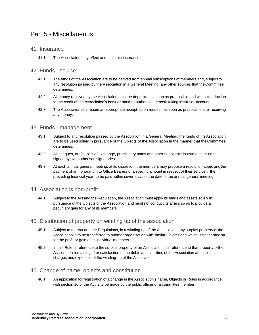### <span id="page-21-0"></span>Part 5 - Miscellaneous

#### <span id="page-21-1"></span>41. Insurance

41.1 The Association may effect and maintain insurance.

#### <span id="page-21-2"></span>42. Funds - source

- 42.1 The funds of the Association are to be derived from annual subscriptions of members and, subject to any resolution passed by the Association in a General Meeting, any other sources that the Committee determines.
- 42.2 All money received by the Association must be deposited as soon as practicable and without deduction to the credit of the Association's bank or another authorised deposit-taking institution account.
- 42.3 The Association shall issue an appropriate receipt, upon request, as soon as practicable afterreceiving any money.

#### <span id="page-21-3"></span>43. Funds - management

- 43.1 Subject to any resolution passed by the Association in a General Meeting, the funds of theAssociation are to be used solely in pursuance of the Objects of the Association in the manner that the Committee determines.
- 43.2 All cheques, drafts, bills of exchange, promissory notes and other negotiable instruments must be signed by two authorised signatories.
- 43.3 At each annual general meeting, at its discretion, the members may propose a resolution approving the payment of an honorarium to Office Bearers of a specific amount in respect of their service in the preceding financial year, to be paid within seven days of the date of the annual general meeting.

#### <span id="page-21-4"></span>44. Association is non-profit

44.1 Subject to the Act and the Regulation, the Association must apply its funds and assets solely in pursuance of the Objects of the Association and must not conduct its affairs so as to provide a pecuniary gain for any of its members.

#### <span id="page-21-5"></span>45. Distribution of property on winding up of the association

- 45.1 Subject to the Act and the Regulations, in a winding up of the Association, any surplus property of the Association is to be transferred to another organisation with similar Objects and which is not carriedon for the profit or gain of its individual members.
- 45.2 In this Rule, a reference to the surplus property of an Association is a reference to that property ofthe Association remaining after satisfaction of the debts and liabilities of the Association and the costs, charges and expenses of the winding-up of the Association.

#### <span id="page-21-6"></span>46. Change of name, objects and constitution

46.1 An application for registration of a change in the Association's name, Objects or Rules in accordance with section 10 of the Act is to be made by the public officer or a committee member.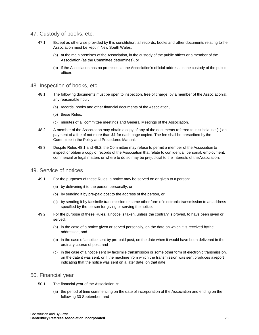#### <span id="page-22-0"></span>47. Custody of books, etc.

- 47.1 Except as otherwise provided by this constitution, all records, books and other documents relating tothe Association must be kept in New South Wales:
	- (a) at the main premises of the Association, in the custody of the public officer or a member of the Association (as the Committee determines), or
	- (b) if the Association has no premises, at the Association's official address, in the custody of the public officer.

#### <span id="page-22-1"></span>48. Inspection of books, etc.

- 48.1 The following documents must be open to inspection, free of charge, by a member of the Associationat any reasonable hour:
	- (a) records, books and other financial documents of the Association,
	- (b) these Rules,
	- (c) minutes of all committee meetings and General Meetings of the Association.
- 48.2 A member of the Association may obtain a copy of any of the documents referred to in subclause (1) on payment of a fee of not more than \$1 for each page copied. The fee shall be prescribed by the Committee in the Policy and Procedures Manual.
- 48.3 Despite Rules 48.1 and 48.2, the Committee may refuse to permit a member of the Association to inspect or obtain a copy of records of the Association that relate to confidential, personal, employment, commercial or legal matters or where to do so may be prejudicial to the interests of the Association.

#### <span id="page-22-2"></span>49. Service of notices

- 49.1 For the purposes of these Rules, a notice may be served on or given to a person:
	- (a) by delivering it to the person personally, or
	- (b) by sending it by pre-paid post to the address of the person, or
	- (c) by sending it by facsimile transmission or some other form of electronic transmission to an address specified by the person for giving or serving the notice.
- 49.2 For the purpose of these Rules, a notice is taken, unless the contrary is proved, to have been given or served:
	- (a) in the case of a notice given or served personally, on the date on which it is received bythe addressee, and
	- (b) in the case of a notice sent by pre-paid post, on the date when it would have been delivered in the ordinary course of post, and
	- (c) in the case of a notice sent by facsimile transmission or some other form of electronic transmission, on the date it was sent, or if the machine from which the transmission was sent produces a report indicating that the notice was sent on a later date, on that date.

#### <span id="page-22-3"></span>50. Financial year

- 50.1 The financial year of the Association is:
	- (a) the period of time commencing on the date of incorporation of the Association and ending on the following 30 September, and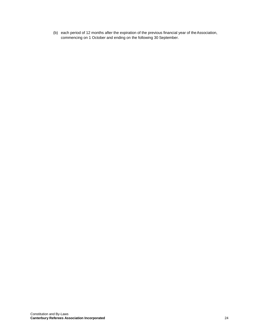(b) each period of 12 months after the expiration of the previous financial year of theAssociation, commencing on 1 October and ending on the following 30 September.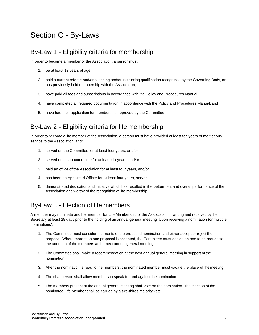## <span id="page-24-0"></span>Section C - By-Laws

### <span id="page-24-1"></span>By-Law 1 - Eligibility criteria for membership

In order to become a member of the Association, a person must:

- 1. be at least 12 years of age,
- 2. hold a current referee and/or coaching and/or instructing qualification recognised by the Governing Body, or has previously held membership with the Association,
- 3. have paid all fees and subscriptions in accordance with the Policy and Procedures Manual,
- 4. have completed all required documentation in accordance with the Policy and Procedures Manual, and
- 5. have had their application for membership approved by the Committee.

## <span id="page-24-2"></span>By-Law 2 - Eligibility criteria for life membership

In order to become a life member of the Association, a person must have provided at least ten years of meritorious service to the Association, and:

- 1. served on the Committee for at least four years, and/or
- 2. served on a sub-committee for at least six years, and/or
- 3. held an office of the Association for at least four years, and/or
- 4. has been an Appointed Officer for at least four years, and/or
- 5. demonstrated dedication and initiative which has resulted in the betterment and overall performance of the Association and worthy of the recognition of life membership.

### <span id="page-24-3"></span>By-Law 3 - Election of life members

A member may nominate another member for Life Membership of the Association in writing and received by the Secretary at least 28 days prior to the holding of an annual general meeting. Upon receiving a nomination (or multiple nominations):

- 1. The Committee must consider the merits of the proposed nomination and either accept or reject the proposal. Where more than one proposal is accepted, the Committee must decide on one to be brought to the attention of the members at the next annual general meeting.
- 2. The Committee shall make a recommendation at the next annual general meeting in support of the nomination.
- 3. After the nomination is read to the members, the nominated member must vacate the place of the meeting.
- 4. The chairperson shall allow members to speak for and against the nomination.
- 5. The members present at the annual general meeting shall vote on the nomination. The election of the nominated Life Member shall be carried by a two-thirds majority vote.